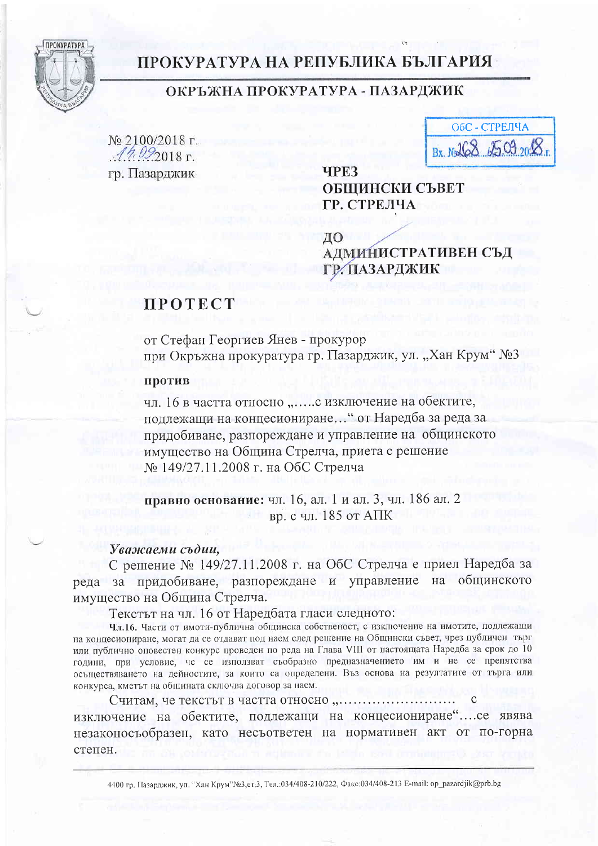

## ПРОКУРАТУРА НА РЕПУБЛИКА БЪЛГАРИЯ

### ОКРЪЖНА ПРОКУРАТУРА - ПАЗАРДЖИК

гр. Пазарджик

| ОбС - СТРЕЛЧА        |
|----------------------|
| Bx Nol68 2509 2018 1 |

**TPE3** ОБШИНСКИ СЪВЕТ ГР. СТРЕЛЧА

ЛО АДМИНИСТРАТИВЕН СЪД ГР. ПАЗАРДЖИК

## **TPOTECT**

от Стефан Георгиев Янев - прокурор при Окръжна прокуратура гр. Пазарджик, ул. "Хан Крум" №3

#### против

чл. 16 в частта относно "..... с изключение на обектите, подлежащи на концесиониране... " от Наредба за реда за придобиване, разпореждане и управление на общинското имущество на Община Стрелча, приета с решение № 149/27.11.2008 г. на ОбС Стрелча

правно основание: чл. 16, ал. 1 и ал. 3, чл. 186 ал. 2 вр. с чл. 185 от АПК

### Уважаеми съдии,

С решение № 149/27.11.2008 г. на ОбС Стрелча е приел Наредба за реда за придобиване, разпореждане и управление на общинското имущество на Община Стрелча.

Текстът на чл. 16 от Наредбата гласи следното:

Чл.16. Части от имоти-публична общинска собственост, с изключение на имотите, подлежащи на концесиониране, могат да се отдават под наем след решение на Общински съвет, чрез публичен търг или публично оповестен конкурс проведен по реда на Глава VIII от настоящата Наредба за срок до 10 години, при условие, че се използват съобразно предназначението им и не се препятства осъществяването на дейностите, за които са определени. Въз основа на резултатите от търга или конкурса, кметът на общината сключва договор за наем.

изключение на обектите, подлежащи на концесиониране".... се явява незаконосъобразен, като несъответен на нормативен акт от по-горна степен.

4400 гр. Пазарджик, ул. "Хан Крум"№3,ет.3, Тел.:034/408-210/222, Факс:034/408-213 E-mail: op\_pazardjik@prb.bg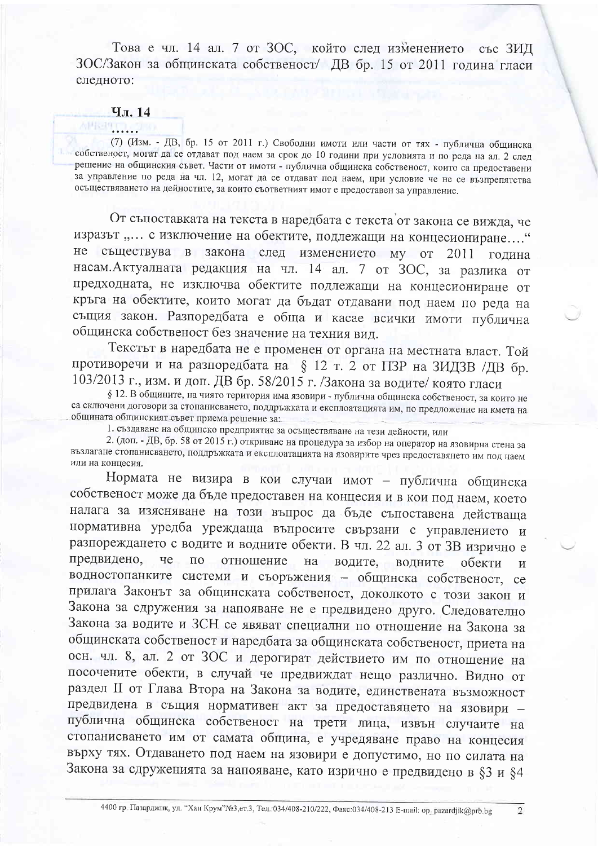Това е чл. 14 ал. 7 от ЗОС, който след изменението със ЗИД ЗОС/Закон за общинската собственост/ ДВ бр. 15 от 2011 година гласи следното:

#### Чл. 14

# 神经理工具

(7) (Изм. - ДВ, бр. 15 от 2011 г.) Свободни имоти или части от тях - публична общинска собственост, могат да се отдават под наем за срок до 10 години при условията и по реда на ал. 2 след решение на общинския съвет. Части от имоти - публична общинска собственост, които са предоставени за управление по реда на чл. 12, могат да се отдават под наем, при условие че не се възпрепятства осъществяването на дейностите, за които съответният имот е предоставен за управление.

От съпоставката на текста в наредбата с текста от закона се вижда, че изразът "... с изключение на обектите, подлежащи на концесиониране...." не съществува в закона след изменението му от 2011 година насам. Актуалната редакция на чл. 14 ал. 7 от ЗОС, за разлика от предходната, не изключва обектите подлежащи на концесиониране от кръга на обектите, които могат да бъдат отдавани под наем по реда на същия закон. Разпоредбата е обща и касае всички имоти публична общинска собственост без значение на техния вид.

Текстът в наредбата не е променен от органа на местната власт. Той противоречи и на разпоредбата на § 12 т. 2 от ПЗР на ЗИДЗВ /ДВ бр. 103/2013 г., изм. и доп. ДВ бр. 58/2015 г. /Закона за водите/ която гласи

§ 12. В общините, на чиято територия има язовири - публична общинска собственост, за които не са сключени договори за стопанисването, поддръжката и експлоатацията им, по предложение на кмета на общината общинският съвет приема решение за:

1. създаване на общинско предприятие за осъществяване на тези дейности, или

2. (доп. - ДВ, бр. 58 от 2015 г.) откриване на процедура за избор на оператор на язовирна стена за възлагане стопанисването, поддръжката и експлоатацията на язовирите чрез предоставянето им под наем или на концесия.

Нормата не визира в кои случаи имот - публична общинска собственост може да бъде предоставен на концесия и в кои под наем, което налага за изясняване на този въпрос да бъде съпоставена действаща нормативна уредба уреждаща въпросите свързани с управлението и разпореждането с водите и водните обекти. В чл. 22 ал. 3 от 3В изрично е предвидено, че по отношение на водите, водните обекти  $\overline{M}$ водностопанките системи и съоръжения - общинска собственост, се прилага Законът за общинската собственост, доколкото с този закон и Закона за сдружения за напояване не е предвидено друго. Следователно Закона за водите и ЗСН се явяват специални по отношение на Закона за общинската собственост и наредбата за общинската собственост, приета на осн. чл. 8, ал. 2 от ЗОС и дерогират действието им по отношение на посочените обекти, в случай че предвиждат нещо различно. Видно от раздел II от Глава Втора на Закона за водите, единствената възможност предвидена в същия нормативен акт за предоставянето на язовири публична общинска собственост на трети лица, извън случаите на стопанисването им от самата община, е учредяване право на концесия върху тях. Отдаването под наем на язовири е допустимо, но по силата на Закона за сдруженията за напояване, като изрично е предвидено в §3 и §4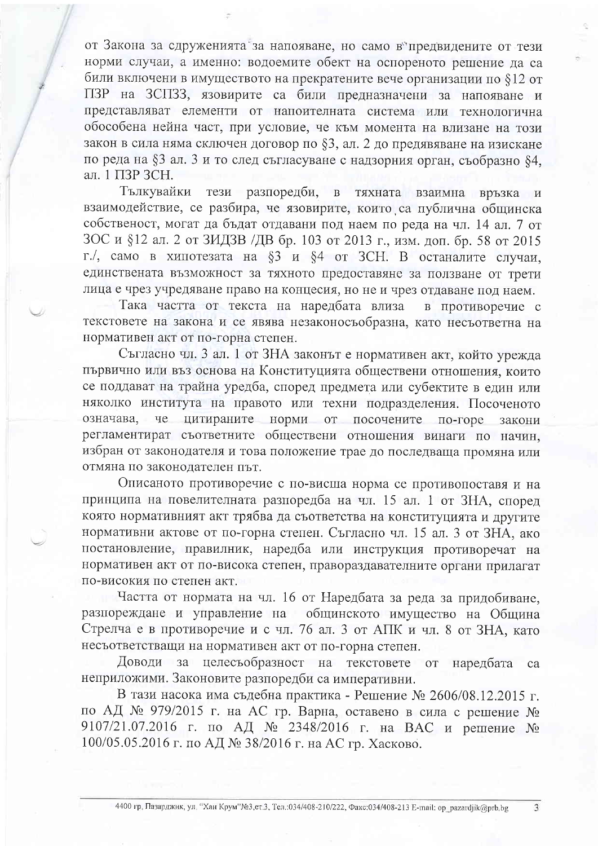от Закона за сдруженията за напояване, но само в предвидените от тези норми случаи, а именно: водоемите обект на оспореното решение да са били включени в имуществото на прекратените вече организации по \$12 от ПЗР на ЗСПЗЗ, язовирите са били предназначени за напояване и представляват елементи от напоителната система или технологична обособена нейна част, при условие, че към момента на влизане на този закон в сила няма сключен договор по §3, ал. 2 до предявяване на изискане по реда на §3 ал. 3 и то след съгласуване с надзорния орган, съобразно §4, ал. 1 ПЗР ЗСН.

Тълкувайки тези разпоредби, в тяхната взаимна връзка  $\mathbf{H}$ взаимодействие, се разбира, че язовирите, които са публична общинска собственост, могат да бъдат отдавани под наем по реда на чл. 14 ал. 7 от 3ОС и §12 ал. 2 от ЗИДЗВ /ДВ бр. 103 от 2013 г., изм. доп. бр. 58 от 2015 г./, само в хипотезата на §3 и §4 от ЗСН. В останалите случаи, единствената възможност за тяхното предоставяне за ползване от трети лица е чрез учредяване право на концесия, но не и чрез отдаване под наем.

Така частта от текста на наредбата влиза в противоречие с текстовете на закона и се явява незаконосъобразна, като несъответна на нормативен акт от по-горна степен.

Съгласно чл. 3 ал. 1 от ЗНА законът е нормативен акт, който урежда първично или въз основа на Конституцията обществени отношения, които се поддават на трайна уредба, според предмета или субектите в един или няколко института на правото или техни подразделения. Посоченото означава, че цитираните норми от посочените по-горе закони регламентират съответните обществени отношения винаги по начин. избран от законодателя и това положение трае до последваща промяна или отмяна по законодателен път.

Описаното противоречие с по-висша норма се противопоставя и на принципа на повелителната разпоредба на чл. 15 ал. 1 от ЗНА, според която нормативният акт трябва да съответства на конституцията и другите нормативни актове от по-горна степен. Съгласно чл. 15 ал. 3 от ЗНА, ако постановление, правилник, наредба или инструкция противоречат на нормативен акт от по-висока степен, правораздавателните органи прилагат по-високия по степен акт.

Частта от нормата на чл. 16 от Наредбата за реда за придобиване, разпореждане и управление на общинското имущество на Община Стрелча е в противоречие и с чл. 76 ал. 3 от АПК и чл. 8 от ЗНА, като несъответстващи на нормативен акт от по-горна степен.

Доводи за целесъобразност на текстовете **OT** наредбата ca неприложими. Законовите разпоредби са императивни.

В тази насока има съдебна практика - Решение № 2606/08.12.2015 г. по АД № 979/2015 г. на АС гр. Варна, оставено в сила с решение № 9107/21.07.2016 г. по АД № 2348/2016 г. на ВАС и решение № 100/05.05.2016 г. по АД № 38/2016 г. на АС гр. Хасково.

 $\overline{3}$